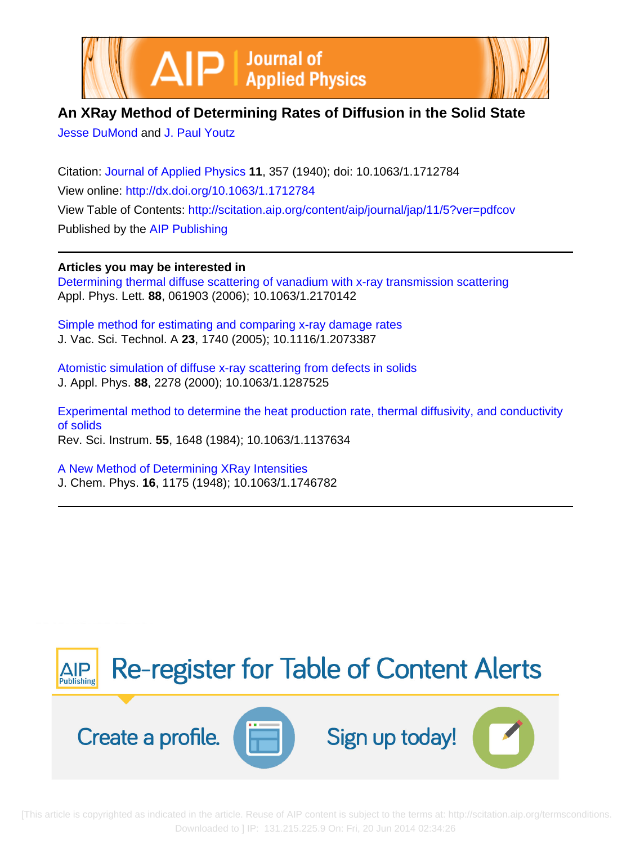



# **An XRay Method of Determining Rates of Diffusion in the Solid State**

[Jesse DuMond](http://scitation.aip.org/search?value1=Jesse+DuMond&option1=author) and [J. Paul Youtz](http://scitation.aip.org/search?value1=J.+Paul+Youtz&option1=author)

Citation: [Journal of Applied Physics](http://scitation.aip.org/content/aip/journal/jap?ver=pdfcov) **11**, 357 (1940); doi: 10.1063/1.1712784 View online: <http://dx.doi.org/10.1063/1.1712784> View Table of Contents:<http://scitation.aip.org/content/aip/journal/jap/11/5?ver=pdfcov> Published by the [AIP Publishing](http://scitation.aip.org/content/aip?ver=pdfcov)

# **Articles you may be interested in**

[Determining thermal diffuse scattering of vanadium with x-ray transmission scattering](http://scitation.aip.org/content/aip/journal/apl/88/6/10.1063/1.2170142?ver=pdfcov) Appl. Phys. Lett. **88**, 061903 (2006); 10.1063/1.2170142

[Simple method for estimating and comparing x-ray damage rates](http://scitation.aip.org/content/avs/journal/jvsta/23/6/10.1116/1.2073387?ver=pdfcov) J. Vac. Sci. Technol. A **23**, 1740 (2005); 10.1116/1.2073387

[Atomistic simulation of diffuse x-ray scattering from defects in solids](http://scitation.aip.org/content/aip/journal/jap/88/5/10.1063/1.1287525?ver=pdfcov) J. Appl. Phys. **88**, 2278 (2000); 10.1063/1.1287525

[Experimental method to determine the heat production rate, thermal diffusivity, and conductivity](http://scitation.aip.org/content/aip/journal/rsi/55/10/10.1063/1.1137634?ver=pdfcov) [of solids](http://scitation.aip.org/content/aip/journal/rsi/55/10/10.1063/1.1137634?ver=pdfcov) Rev. Sci. Instrum. **55**, 1648 (1984); 10.1063/1.1137634

[A New Method of Determining XRay Intensities](http://scitation.aip.org/content/aip/journal/jcp/16/12/10.1063/1.1746782?ver=pdfcov) J. Chem. Phys. **16**, 1175 (1948); 10.1063/1.1746782



 [Th[is article is copyrighted as indicated in the article. Reuse of AIP content is subject to the terms at: http://scitation.aip.org/termsco](http://oasc12039.247realmedia.com/RealMedia/ads/click_lx.ads/www.aip.org/pt/adcenter/pdfcover_test/L-37/1159287001/x01/AIP-PT/JAP_ArticleDL_051414/aipToCAlerts_Large.png/5532386d4f314a53757a6b4144615953?x)nditions. Downloaded to ] IP: 131.215.225.9 On: Fri, 20 Jun 2014 02:34:26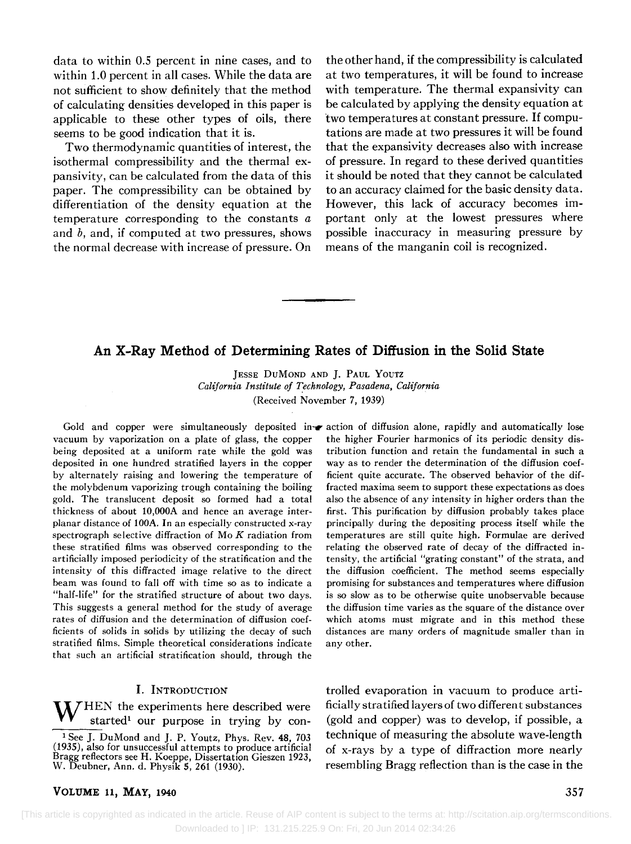data to within 0.5 percent in nine cases, and to within 1.0 percent in all cases. While the data are not sufficient to show definitely that the method of calculating densities developed in this paper is applicable to these other types of oils, there seems to be good indication that it is.

Two thermodynamic quantities of interest, the isothermal compressibility and the thermal expansivity, can be calculated from the data of this paper. The compressibility can be obtained by differentiation of the density equation at the temperature corresponding to the constants *a*  and  $b$ , and, if computed at two pressures, shows the normal decrease with increase of pressure. On

the other hand, if the compressibility is calculated at two temperatures, it will be found to increase with temperature. The thermal expansivity can be calculated by applying the density equation at two temperatures at constant pressure. If computations are made at two pressures it will be found that the expansivity decreases also with increase of pressure. In regard to these derived quantities it should be noted that they cannot be calculated to an accuracy claimed for the basic density data. However, this lack of accuracy becomes important only at the lowest pressures where possible inaccuracy in measuring pressure by means of the manganin coil is recognized.

# **An X-Ray Method of Determining Rates of Diffusion in the Solid State**

JESSE DuMOND AND J. PAUL YOUTZ *California Institute of Technology, Pasadena, California*  (Received November 7, 1939)

vacuum by vaporization on a plate of glass, the copper the higher Fourier harmonics of its periodic density dis· being deposited at a uniform rate while the gold was tribution function and retain the fundamental in such a deposited in one hundred stratified layers in the copper way as to render the determination of the diffusion coefby alternately raising and lowering the temperature of ficient quite accurate. The observed behavior of the dif· the molybdenum vaporizing trough containing the boiling fracted maxima seem to support these expectations as does gold. The translucent deposit so formed had a total also the absence of any intensity in higher orders than the thickness of about 1O,OOOA and hence an average inter- first. This purification by diffusion probably takes place planar distance of 100A. In an especially constructed x-ray principally during the depositing process itself while the spectrograph selective diffraction of Mo  $K$  radiation from temperatures are still quite high. Formulae are derived these stratified films was observed corresponding to the relating the observed rate of decay of the diffracted inartificially imposed periodicity of the stratification and the tensity, the artificial "grating constant" of the strata, and intensity of this diffracted image relative to the direct the diffusion coefficient. The method seems especially beam was found to fall off with time so as to indicate a promising for substances and temperatures where diffusion "half·life" for the stratified structure of about two days. is so slow as to be otherwise quite unobservable because This suggests a general method for the study of average the diffusion time varies as the square of the distance over rates of diffusion and the determination of diffusion coef- which atoms must migrate and in this method these ficients of solids in solids by utilizing the decay of such distances are many orders of magnitude smaller than in stratified films. Simple theoretical considerations indicate any other. that such an artificial stratification should, through the

## I. INTRODUCTION

 $M/HEN$  the experiments here described were started<sup>1</sup> our purpose in trying by con-

Gold and copper were simultaneously deposited in  $\bullet$  action of diffusion alone, rapidly and automatically lose

trolled evaporation in vacuum to produce artificially stratified layers of two different substances (gold and copper) was to develop, if possible, a technique of measuring the absolute wave-length of x-rays by a type of diffraction more nearly resembling Bragg reflection than is the case in the

### **VOLUME 11, MAY, 1940**

 [This article is copyrighted as indicated in the article. Reuse of AIP content is subject to the terms at: http://scitation.aip.org/termsconditions. Downloaded to ] IP: 131.215.225.9 On: Fri, 20 Jun 2014 02:34:26

<sup>&</sup>lt;sup>1</sup> See J. DuMond and J. P. Youtz, Phys. Rev. 48, 703 (1935), also for unsuccessful attempts to produce artificial Bragg reflectors see H. Koeppe, Dissertation Gieszen 1923, W. Deubner, Ann. d. Physik 5, 261 (1930).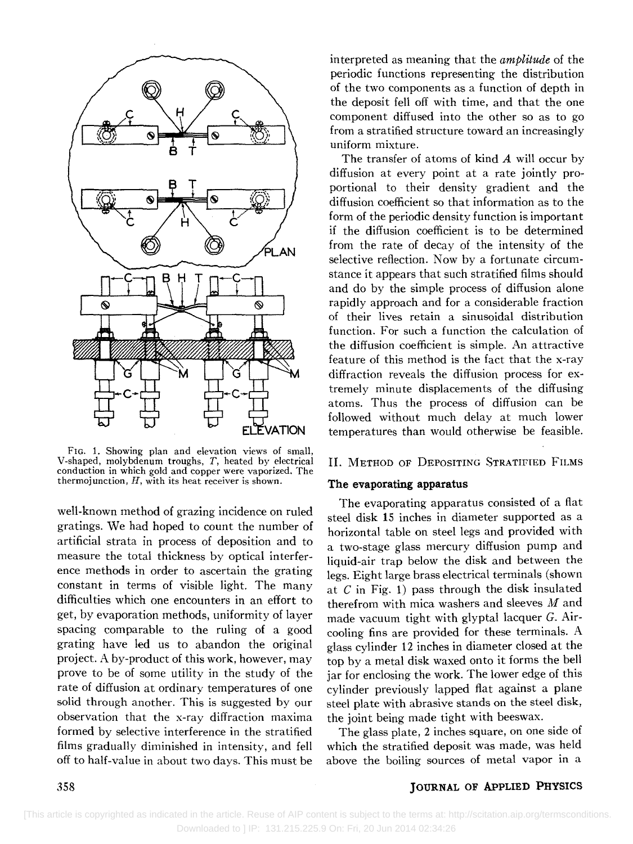

FIG. 1. Showing plan and elevation views of small, V-shaped, molybdenum troughs, T, heated by electrical conduction in which gold and copper were vaporized. The thermojunction, H, with its heat receiver is shown.

well-known method of grazing incidence on ruled gratings. We had hoped to count the number of artificial strata in process of deposition and to measure the total thickness by optical interference methods in order to ascertain the grating constant in terms of visible light. The many difficulties which one encounters in an effort to get, by evaporation methods, uniformity of layer spacing comparable to the ruling of a good grating have led us to abandon the original project. A by-product of this work, however, may prove to be of some utility in the study of the rate of diffusion at ordinary temperatures of one solid through another. This is suggested by our observation that the x-ray diffraction maxima formed by selective interference in the stratified films gradually diminished in intensity, and fell off to half-value in about two days. This must be

interpreted as meaning that the *amplitude* of the periodic functions representing the distribution of the two components as a function of depth in the deposit fell off with time, and that the one component diffused into the other so as to go from a stratified structure toward an increasingly uniform mixture.

The transfer of atoms of kind *A* will occur by diffusion at every point at a rate jointly proportional to their density gradient and the diffusion coefficient so that information as to the form of the periodic density function is important if the diffusion coefficient is to be determined from the rate of decay of the intensity of the selective reflection. Now by a fortunate circumstance it appears that such stratified films should and do by the simple process of diffusion alone rapidly approach and for a considerable fraction of their lives retain a sinusoidal distribution function. For such a function the calculation of the diffusion coefficient is simple. An attractive feature of this method is the fact that the x-ray diffraction reveals the diffusion process for extremely minute displacements of the diffusing atoms. Thus the process of diffusion can be followed without much delay at much lower temperatures than would otherwise be feasible.

#### II. METHOD OF DEPOSITING STRATIFIED FILMS

#### **The evaporating apparatus**

The evaporating apparatus consisted of a flat steel disk **15** inches in diameter supported as a horizontal table on steel legs and provided with a two-stage glass mercury diffusion pump and liquid-air trap below the disk and between the legs. Eight large brass electrical terminals (shown at C **in** Fig. 1) pass through the disk insulated therefrom with mica washers and sleeves  $M$  and made vacuum tight with glyptal lacquer G. Aircooling fins are provided for these terminals. A glass cylinder 12 inches in diameter dosed at the top by a metal disk waxed onto it forms the bell jar for enclosing the work. The lower edge of this cylinder previously lapped flat against a plane steel plate with abrasive stands on the steel disk, the joint being made tight with beeswax.

The glass plate, 2 inches square, on one side of which the stratified deposit was made, was held above the boiling sources of metal vapor in a

#### **JOURNAL OF APPLIED PHYSICS**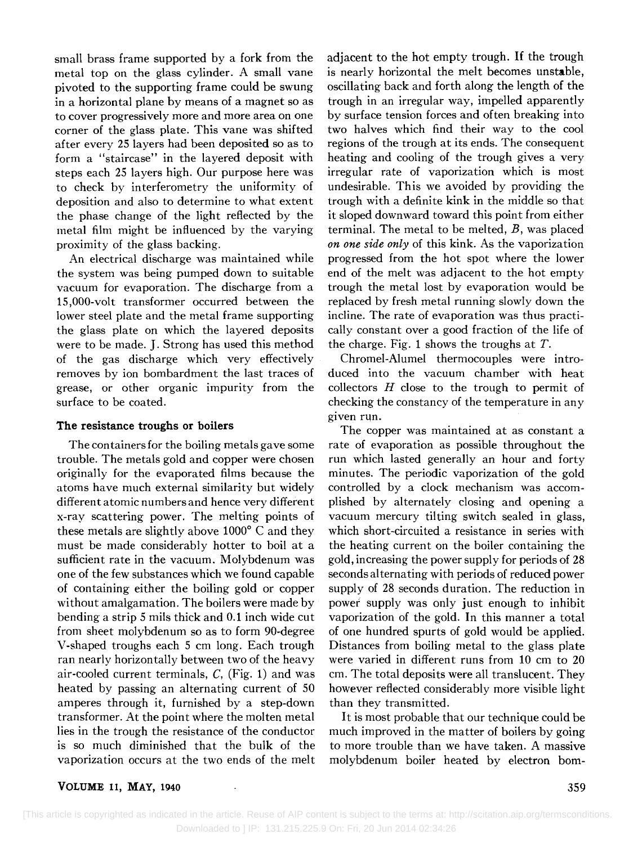small brass frame supported by a fork from the metal top on the glass cylinder. A small vane pivoted to the supporting frame could be swung in a horizontal plane by means of a magnet so as to cover progressively more and more area on one corner of the glass plate. This vane was shifted after every 2S layers had been deposited so as to form a "staircase" in the layered deposit with steps each 25 layers high. Our purpose here was to check by interferometry the uniformity of deposition and also to determine to what extent the phase change of the light reflected by the metal film might be influenced by the varying proximity of the glass backing.

An electrical discharge was maintained while the system was being pumped down to suitable vacuum for evaporation. The discharge from a lS,OOO-volt transformer occurred between the lower steel plate and the metal frame supporting the glass plate on which the layered deposits were to be made. J. Strong has used this method of the gas discharge which very effectively removes by ion bombardment the last traces of grease, or other organic impurity from the surface to be coated.

#### The resistance troughs or boilers

The containers for the boiling metals gave some trouble. The metals gold and copper were chosen originally for the evaporated films because the atoms have much external similarity but widely different atomic numbers and hence very different x-ray scattering power. The melting points of these metals are slightly above  $1000^{\circ}$  C and they must be made considerably hotter to boil at a sufficient rate in the vacuum. Molybdenum was one of the few substances which we found capable of containing either the boiling gold or copper without amalgamation. The boilers were made by bending a strip 5 mils thick and 0.1 inch wide cut from sheet molybdenum so as to form 90-degree V-shaped troughs each 5 cm long. Each trough ran nearly horizontally between two of the heavy air-cooled current terminals, C, (Fig. 1) and was heated by passing an alternating current of 50 amperes through it, furnished by a step-down transformer. At the point where the molten metal lies in the trough the resistance of the conductor is so much diminished that the bulk of the vaporization occurs at the two ends of the melt

adjacent to the hot empty trough. If the trough is nearly horizontal the melt becomes unstable, oscillating back and forth along the length of the trough in an irregular way, impelled apparently by surface tension forces and often breaking into two halves which find their way to the cool regions of the trough at its ends. The consequent heating and cooling of the trough gives a very irregular rate of vaporization which is most undesirable. This we avoided by providing the trough with a definite kink in the middle so that it sloped downward toward this point from either terminal. The metal to be melted, *B,* was placed *on one side only* of this kink. As the vaporization progressed from the hot spot where the lower end of the melt was adjacent to the hot empty trough the metal lost by evaporation would be replaced by fresh metal running slowly down the incline. The rate of evaporation was thus practically constant over a good fraction of the life of the charge. Fig. 1 shows the troughs at T.

Chromel-Alumel thermocouples were introduced into the vacuum chamber with heat collectors  $H$  close to the trough to permit of checking the constancy of the temperature in any given run.

The copper was maintained at as constant a rate of evaporation as possible throughout the run which lasted generally an hour and forty minutes. The periodic vaporization of the gold controlled by a clock mechanism was accomplished by alternately closing and opening a vacuum mercury tilting switch sealed in glass, which short-circuited a resistance in series with the heating current on the boiler containing the gold, increasing the power supply for periods of 28 seconds alternating with periods of reduced power supply of 28 seconds duration. The reduction in power supply was only just enough to inhibit vaporization of the gold. In this manner a total of one hundred spurts of gold would be applied. Distances from boiling metal to the glass plate were varied in different runs from 10 cm to 20 cm. The total deposits were all translucent. They however reflected considerably more visible light than they transmitted.

It is most probable that our technique could be much improved in the matter of boilers by going to more trouble than we have taken. A massive molybdenum boiler heated by electron bom-

## VOLUME 11, MAY, 1940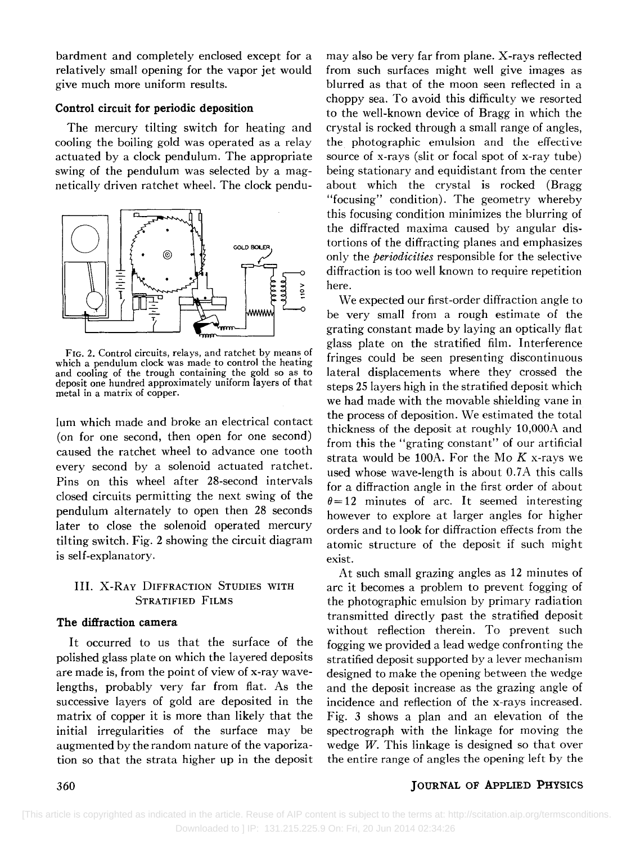bardment and completely enclosed except for a relatively small opening for the vapor jet would give much more uniform results.

#### Control circuit for periodic deposition

The mercury tilting switch for heating and cooling the boiling gold was operated as a relay actuated by a clock pendulum. The appropriate swing of the pendulum was selected by a magnetically driven ratchet wheel. The clock pendu-



FIG. 2. Control circuits, relays, and ratchet by means of which a pendulum clock was made to control the heating and cooling of the trough containing the gold so as to deposit one hundred approximately uniform layers of that metal in a matrix of copper.

lum which made and broke an electrical contact (on for one second, then open for one second) caused the ratchet wheel to advance one tooth every second by a solenoid actuated ratchet. Pins on this wheel after 28-second intervals closed circuits permitting the next swing of the pendulum alternately to open then 28 seconds later to close the solenoid operated mercury tilting switch. Fig. 2 showing the circuit diagram is self-explanatory.

## III. X-RAY DIFFRACTION STUDIES WITH STRATIFIED FILMS

#### The diffraction camera

It occurred to us that the surface of the polished glass plate on which the layered deposits are made is, from the point of view of x-ray wavelengths, probably very far from flat. As the successive layers of gold are deposited in the matrix of copper it is more than likely that the initial irregularities of the surface may be augmented by the random nature of the vaporization so that the strata higher up in the deposit may also be very far from plane. X-rays reflected from such surfaces might well give images as blurred as that of the moon seen reflected in a choppy sea. To avoid this difficulty we resorted to the well-known device of Bragg in which the crystal is rocked through a small range of angles, the photographic emulsion and the effective source of x-rays (slit or focal spot of x-ray tube) being stationary and equidistant from the center about which the crystal is rocked (Bragg "focusing" condition). The geometry whereby this focusing condition minimizes the blurring of the diffracted maxima caused by angular distortions of the diffracting planes and emphasizes only the *periodicities* responsible for the selective diffraction is too well known to require repetition here.

We expected our first-order diffraction angle to be very small from a rough estimate of the grating constant made by laying an optically flat glass plate on the stratified film. Interference fringes could be seen presenting discontinuous lateral displacements where they crossed the steps 25 layers high in the stratified deposit which we had made with the movable shielding vane in the process of deposition. We estimated the total thickness of the deposit at roughly 1O,000A and from this the "grating constant" of our artificial strata would be 100A. For the Mo  $K$  x-rays we used whose wave-length is about 0.7A this calls for a diffraction angle in the first order of about  $\theta = 12$  minutes of arc. It seemed interesting however to explore at larger angles for higher orders and to look for diffraction effects from the atomic structure of the deposit if such might exist.

At such small grazing angles as 12 minutes of arc it becomes a problem to prevent fogging of the photographic emulsion by primary radiation transmitted directly past the stratified deposit without reflection therein. To prevent such fogging we provided a lead wedge confronting the stratified deposit supported by a lever mechanism designed to make the opening between the wedge and the deposit increase as the grazing angle of incidence and reflection of the x-rays increased. Fig. 3 shows a plan and an elevation of the spectrograph with the linkage for moving the wedge *W.* This linkage is designed so that over the entire range of angles the opening left by the

### JOURNAL OF ApPLIED PHYSICS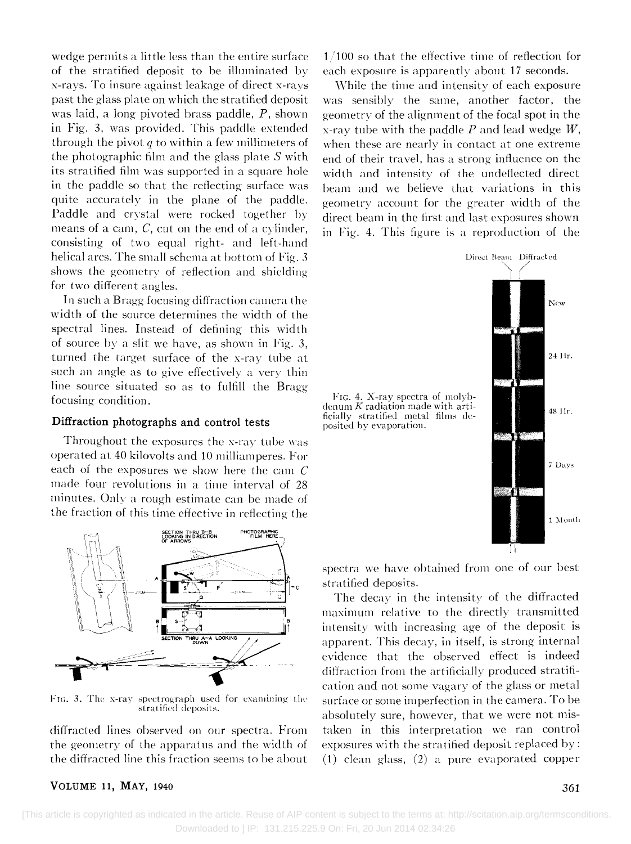wedge permits a little less than the entire surface of the stratified deposit to be illuminated by x-rays. To insure against leakage of direct x-ray's past the glass plate on which the stratified deposit was laid, a long pivoted brass paddle, *P,* shown in Fig. 3, was provided. This paddle extended through the pivot *q* to within a few millimeters of the photographic film and the glass plate S with its stratified film was supported in a square hole in the paddle so that the reflecting surface was quite accurately in the plane of the paddle. Paddle and crystal were rocked together by means of a cam,  $C$ , cut on the end of a cylinder, consisting of two equal right- and left-hand helical arcs. The small schema at bottom of Fig. 3 shows the geometry of reflection and shielding for two different angles.

In such a Bragg focusing diffraction camera the width of the source determines the width of the spectral lines. Instead of defining this width of source by a slit we have, as shown in Fig.  $3$ , turned the target surface of the x-ray tube at such an angle as to give effectively a very thin line source situated so as to fulfill the Bragg focusing condition.

#### Diffraction photographs and control tests

Throughout the exposures the x-ray tube was operated at 40 kilovolts and 10 milliamperes. For each of the exposures we show here the cam  $C$ made four revolutions in a time interval of 28 minutes. Only a rough estimate can be made of the fraction of this time effective in reflecting the



FIG. 3. The x-ray spectrograph used for examining the stratified deposits.

diffracted lines observed on our spectra. From the geometry of the apparatus and the width of the diffracted line this fraction seems to be about

VOLUME 11, MAY, 1940

 $1/100$  so that the effective time of reflection for each exposure is apparently about 17 seconds.

\Yhile the time and intensity of each exposure was sensibly the same, another factor, the geometry of the alignment of the focal spot in the x-ray tube with the paddle  $P$  and lead wedge  $W$ , when these are nearly in contact at one extreme end of their travel, has a strong influence on the width and intensity of the undeflected direct beam and we believe that variations in this geometry account for the greater width of the direct beam in the first and last exposures shown in Fig. 4. This figure is a reproduction of the



spectra we have obtained from one of our best stratified deposits.

The decay in the intensity of the diffracted maximum relative to the directly transmitted intensity with increasing' age of the deposit is apparent. This decay, in itself, is strong internal evidence that the observed effect is indeed diffraction from the artificially produced stratification and not some vagary of the glass or metal surface or some imperfection in the camera. To be absolutely sure, however, that we were not mistaken in this interpretation we ran control exposures with the stratified deposit replaced by: (1) clean glass, (2) a pure evaporated copper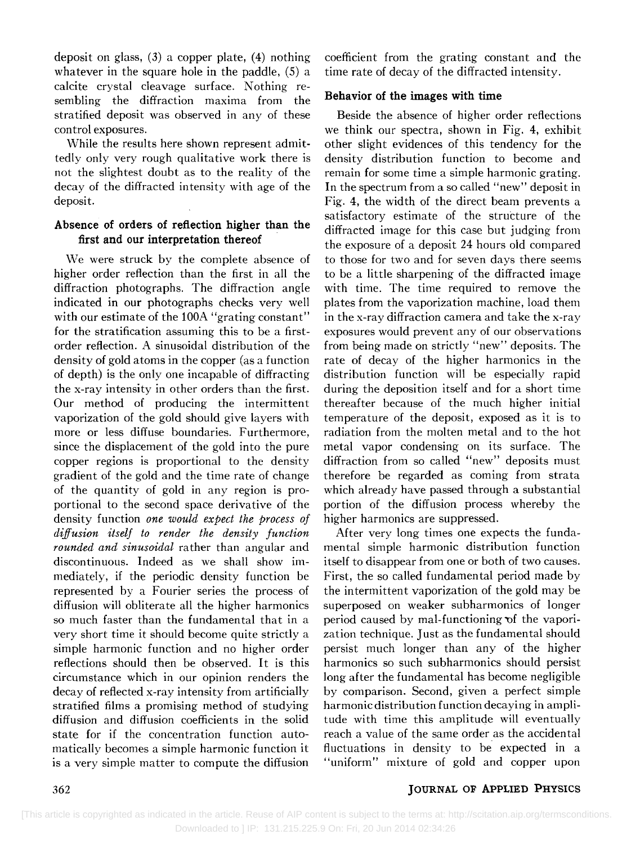deposit on glass, (3) a copper plate, (4) nothing whatever in the square hole in the paddle, (5) a calcite crystal cleavage surface. Nothing resembling the diffraction maxima from the stratified deposit was observed in any of these control exposures.

While the results here shown represent admittedly only very rough qualitative work there is not the slightest doubt as to the reality of the decay of the diffracted intensity with age of the deposit.

## Absence of orders of reflection higher than the first and our interpretation thereof

We were struck by the complete absence of higher order reflection than the first in all the diffraction photographs. The diffraction angle indicated in our photographs checks very well with our estimate of the 100A "grating constant" for the stratification assuming this to be a firstorder reflection. A sinusoidal distribution of the density of gold atoms in the copper (as a function of depth) is the only one incapable of diffracting the x-ray intensity in other orders than the first. Our method of producing the intermittent vaporization of the gold should give layers with more or less diffuse boundaries. Furthermore, since the displacement of the gold into the pure copper regions is proportional to the density gradient of the gold and the time rate of change of the quantity of gold in any region is proportional to the second space derivative of the density function *one would expect the process of diffusion itself to render the density function rounded and sinusoidal* rather than angular and discontinuous. Indeed as we shall show immediately, if the periodic density function be represented by a Fourier series the process of diffusion will obliterate all the higher harmonics so much faster than the fundamental that in a very short time it should become quite strictly a simple harmonic function and no higher order reflections should then be observed. It is this circumstance which in our opinion renders the decay of reflected x-ray intensity from artificially stratified films a promising method of studying diffusion and diffusion coefficients in the solid state for if the concentration function automatically becomes a simple harmonic function it is a very simple matter to compute the diffusion

coefficient from the grating constant and the time rate of decay of the diffracted intensity.

## Behavior of the images with time

Beside the absence of higher order reflections we think our spectra, shown in Fig. 4, exhibit other slight evidences of this tendency for the density distribution function to become and remain for some time a simple harmonic grating. In the spectrum from a so called "new" deposit in Fig. 4, the width of the direct beam prevents a satisfactory estimate of the structure of the diffracted image for this case but judging from the exposure of a deposit 24 hours old compared to those for two and for seven days there seems to be a little sharpening of the diffracted image with time. The time required to remove the plates from the vaporization machine, load them in the x-ray diffraction camera and take the x-ray exposures would prevent any of our observations from being made on strictly "new" deposits. The rate of decay of the higher harmonics in the distribution function will be especially rapid during the deposition itself and for a short time thereafter because of the much higher initial temperature of the deposit, exposed as it is to radiation from the molten metal and to the hot metal vapor condensing on its surface. The diffraction from so called "new" deposits must therefore be regarded as coming from strata which already have passed through a substantial portion of the diffusion process whereby the higher harmonics are suppressed.

After very long times one expects the fundamental simple harmonic distribution function itself to disappear from one or both of two causes. First, the so called fundamental period made by the intermittent vaporization of the gold may be superposed on weaker subharmonics of longer period caused by mal-functioning of the vaporization technique. Just as the fundamental should persist much longer than any of the higher harmonics so such subharmonics should persist long after the fundamental has become negligible by comparison. Second, given a perfect simple harmonic distribution function decaying in amplitude with time this amplitude will eventually reach a value of the same order as the accidental fluctuations in density to be expected in a "uniform" mixture of gold and copper upon

#### 362

# JOURNAL OF ApPLIED PHYSICS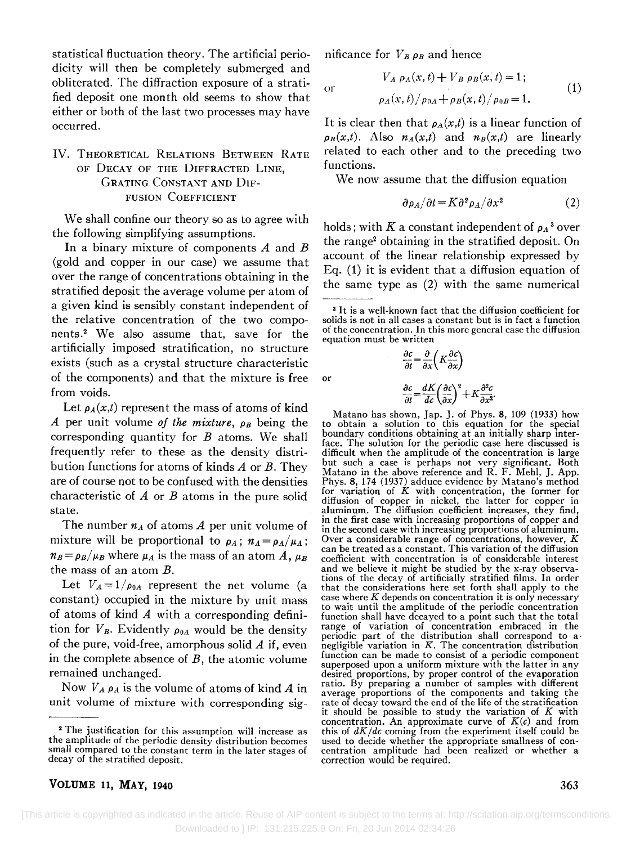statistical fluctuation theory. The artificial periodicity will then be completely submerged and obliterated. The diffraction exposure of a stratified deposit one month old seems to show that either or both of the last two processes may have occurred.

# IV. THEORETICAL RELATIONS BETWEEN RATE OF DECAY OF THE DIFFRACTED LINE. GRATING CONSTANT AND DIF-FUSION COEFFICIENT

We shall confine our theory so as to agree with the following simplifying assumptions.

In a binary mixture of components *A* and *B*  (gold and copper in our case) we assume that over the range of concentrations obtaining in the stratified deposit the average volume per atom of a given kind is sensibly constant independent of the relative concentration of the two components.<sup>2</sup> We also assume that, save for the artificially imposed stratification, no structure exists (such as a crystal structure characteristic of the components) and that the mixture is free from voids.

Let  $\rho_A(x,t)$  represent the mass of atoms of kind *A* per unit volume *of the mixture*,  $\rho_B$  being the corresponding quantity for *B* atoms. We shall frequently refer to these as the density distribution functions for atoms of kinds *A* or *B.* They are of course not to be confused with the densities characteristic of *A* or *B* atoms in the pure solid state.

The number  $n_A$  of atoms A per unit volume of mixture will be proportional to  $\rho_A$ ;  $n_A = \rho_A / \mu_A$ ;  $n_B = \rho_B/\mu_B$  where  $\mu_A$  is the mass of an atom A,  $\mu_B$ the mass of an atom *B.* 

Let  $V_A = 1/\rho_{0A}$  represent the net volume (a constant) occupied in the mixture by unit mass of atoms of kind *A* with a corresponding definition for  $V_B$ . Evidently  $\rho_{0A}$  would be the density of the pure, void-free, amorphous solid *A* if, even in the complete absence of *B,* the atomic volume remained unchanged.

Now *VA PA* is the volume of atoms of kind *A* in unit volume of mixture with corresponding significance for  $V_B \rho_B$  and hence

or  
\n
$$
V_A \rho_A(x, t) + V_B \rho_B(x, t) = 1;
$$
\n
$$
\rho_A(x, t) / \rho_{0A} + \rho_B(x, t) / \rho_{0B} = 1.
$$
\n(1)

It is clear then that  $\rho_A(x,t)$  is a linear function of  $\rho_B(x,t)$ . Also  $n_A(x,t)$  and  $n_B(x,t)$  are linearly related to each other and to the preceding two functions.

We now assume that the diffusion equation

$$
\partial \rho_A / \partial t = K \partial^2 \rho_A / \partial x^2 \tag{2}
$$

holds; with *K* a constant independent of  $\rho_A$ <sup>3</sup> over the range<sup>2</sup> obtaining in the stratified deposit. On account of the linear relationship expressed by Eq. (1) it is evident that a diffusion equation of the same type as (2) with the same numerical

or

$$
\frac{\partial c}{\partial t} = \frac{dK}{dc} \left(\frac{\partial c}{\partial x}\right)^2 + K \frac{\partial^2 c}{\partial x^2}.
$$

 $\frac{\partial c}{\partial t} = \frac{\partial}{\partial x} \left( K \frac{\partial c}{\partial x} \right)$ 

Matano has shown, Jap. J. of Phys. 8, 109 (1933) how to obtain a solution to this equation for the special boundary conditions obtaining at an initially sharp interface. The solution for the periodic case here discussed is difficult when the amplitude of the concentration is large but such a case is perhaps not very significant. Both Matano in the above reference and R. F. Mehl, J. App. Phys. 8,174 (1937) adduce evidence by Matano's method for variation of *K* with concentration, the former for diffusion of copper in nickel, the latter for copper in aluminum. The diffusion coefficient increases, they find, in the first case with increasing proportions of copper and in the second case with increasing proportions of aluminum. Over a considerable range of concentrations, however, *K* can be treated as a constant. This variation of the diffusion coefficient with concentration is of considerable interest and we believe it might be studied by the x-ray observations of the decay of artificially stratified films. In order that the considerations here set forth shall apply to the case where  $K$  depends on concentration it is only necessary to wait until the amplitude of the periodic concentration function shall have decayed to a point such that the total range of variation of concentration embraced in the periodic part of the distribution shall correspond to a negligible variation in *K*. The concentration distribution function can be made to consist of a periodic component superposed upon a uniform mixture with the latter in any desired proportions, by proper control of the evaporation ratio. By preparing a number of samples with different average proportions of the components and taking the rate of decay toward the end of the life of the stratification it should be possible to study the variation of  $K$  with concentration. An approximate curve of  $K(c)$  and from this of *dK/de* coming from the experiment itself could be used to decide whether the appropriate smallness of con- centration amplitude had been realized or whether a correction would be required.

**VOLUME 11, MAY, 1940** 

<sup>&</sup>lt;sup>2</sup> The justification for this assumption will increase as the amplitude of the periodic density distribution becomes small compared to the constant term in the later stages of decay of the stratified deposit.

<sup>&</sup>lt;sup>3</sup> It is a well-known fact that the diffusion coefficient for solids is not in all cases a constant but is in fact a function of the concentration. In this more general case the diffusion equation must be written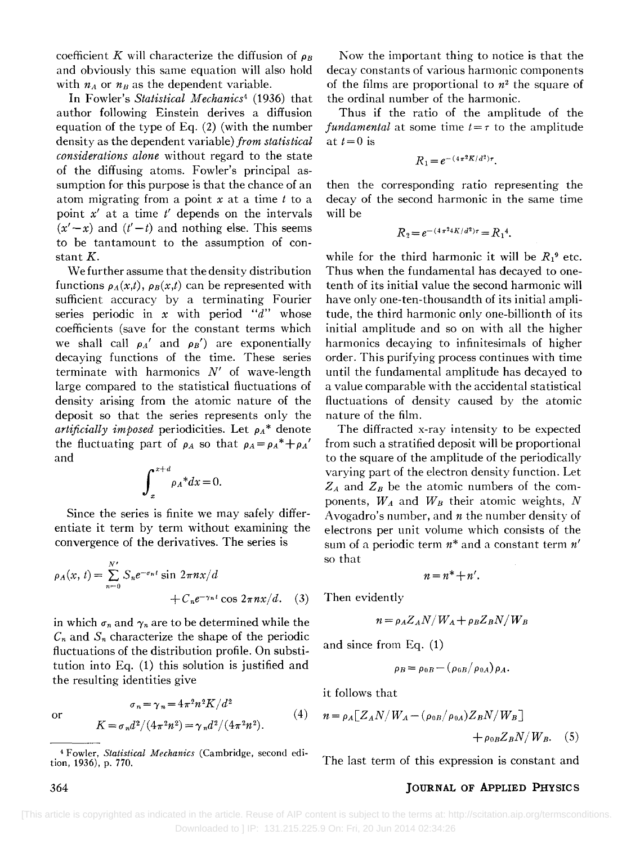coefficient *K* will characterize the diffusion of  $\rho_B$ and obviously this same equation will also hold with  $n_A$  or  $n_B$  as the dependent variable.

In Fowler's *Statistical Mechanics <sup>4</sup>*(1936) that author following Einstein derives a diffusion equation of the type of Eq. (2) (with the number density as the dependent variable) *from statistical considerations alone* without regard to the state of the diffusing atoms. Fowler's principal assumption for this purpose is that the chance of an atom migrating from a point *x* at a time *t* to a point *x'* at a time *t'* depends on the intervals  $(x'-x)$  and  $(t'-t)$  and nothing else. This seems to be tantamount to the assumption of constant K.

We further assume that the density distribution functions  $\rho_A(x,t)$ ,  $\rho_B(x,t)$  can be represented with sufficient accuracy by a terminating Fourier series periodic in *x* with period *"d"* whose coefficients (save for the constant terms which we shall call  $\rho_A'$  and  $\rho_B'$ ) are exponentially decaying functions of the time. These series terminate with harmonics *N'* of wave-length large compared to the statistical fluctuations of density arising from the atomic nature of the deposit so that the series represents only the *artificially imposed* periodicities. Let  $\rho_A^*$  denote the fluctuating part of  $\rho_A$  so that  $\rho_A = \rho_A^* + \rho_A'$ and

$$
\int_{x}^{x+d} \rho_A * dx = 0.
$$

Since the series is finite we may safely differentiate it term by term without examining the convergence of the derivatives. The series is

$$
\rho_A(x, t) = \sum_{n=0}^{N'} S_n e^{-\sigma_n t} \sin 2\pi n x / d
$$

$$
+ C_n e^{-\gamma_n t} \cos 2\pi n x / d. \quad (3)
$$

in which  $\sigma_n$  and  $\gamma_n$  are to be determined while the *Cn* and *Sn* characterize the shape of the periodic fluctuations of the distribution profile. On substitution into Eq. (1) this solution is justified and the resulting identities give

$$
K = \sigma_n d^2 / (4\pi^2 n^2) = \gamma_n d^2 / (4\pi^2 n^2).
$$

 $\sigma_n = \gamma_n = 4\pi^2 n^2 K/d^2$ 

Kow the important thing to notice is that the decay constants of various harmonic components of the films are proportional to *n2* the square of the ordinal number of the harmonic.

Thus if the ratio of the amplitude of the *fundamental* at some time  $t = \tau$  to the amplitude at  $t=0$  is

$$
R_1 = e^{-(4\pi^2 K/d^2)\tau}.
$$

then the corresponding ratio representing the decay of the second harmonic in the same time will be

$$
R_2 = e^{-(4\pi^2 4K/d^2)\tau} = R_1^4.
$$

while for the third harmonic it will be  $R_1^9$  etc. Thus when the fundamental has decayed to onetenth of its initial value the second harmonic will have only one-ten-thousandth of its initial amplitude, the third harmonic only one-billionth of its initial amplitude and so on with all the higher harmonics decaying to infinitesimals of higher order. This purifying process continues with time until the fundamental amplitude has decayed to a value comparable with the accidental statistical fluctuations of density caused by the atomic nature of the film.

The diffracted x-ray intensity to be expected from such a stratified deposit will be proportional to the square of the amplitude of the periodically varying part of the electron density function. Let  $Z_A$  and  $Z_B$  be the atomic numbers of the components,  $W_A$  and  $W_B$  their atomic weights, N Avogadro's number, and *n* the number density of electrons per unit volume which consists of the sum of a periodic term *n\** and a constant term *n'*  so that

$$
n = n^* + n'.
$$

Then evidently

$$
n = \rho_A Z_A N / W_A + \rho_B Z_B N / W_B
$$

and since from Eq. (1)

$$
\rho_B = \rho_{0B} - (\rho_{0B}/\rho_{0A})\rho_A.
$$

it follows that

or  
\n
$$
K = \sigma_n d^2/(4\pi^2 n^2) = \gamma_n d^2/(4\pi^2 n^2).
$$
\n(4)  $n = \rho_A [Z_A N/W_A - (\rho_{0B}/\rho_{0A})Z_B N/W_B]$   
\n
$$
+ \rho_{0B} Z_B N/W_B.
$$
 (5)

The last term of this expression is constant and

### 364 **JOURNAL OF APPLIED** PHYSICS

 [This article is copyrighted as indicated in the article. Reuse of AIP content is subject to the terms at: http://scitation.aip.org/termsconditions. Downloaded to ] IP: 131.215.225.9 On: Fri, 20 Jun 2014 02:34:26

<sup>4</sup> Fowler, *Statistical Mechanics* (Cambridge, second edi-